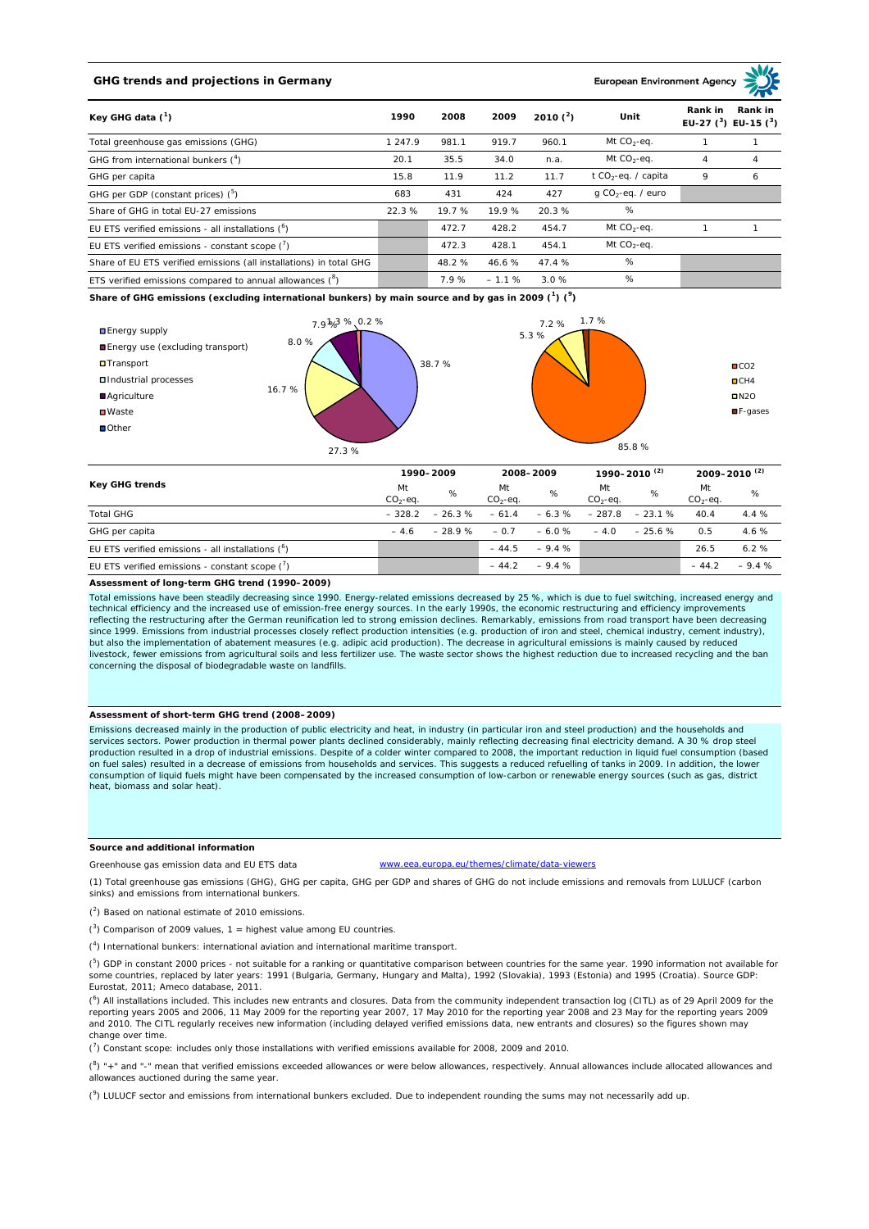# **GHG trends and projections in Germany**

**European Environment Ag** 

| Key GHG data $(^1)$                                                 |         | 2008   | 2009    | 2010 $(^{2})$ | Unit                            | Rank in<br>Rank in<br>EU-27 $(^3)$ EU-15 $(^3)$ |   |
|---------------------------------------------------------------------|---------|--------|---------|---------------|---------------------------------|-------------------------------------------------|---|
| Total greenhouse gas emissions (GHG)                                | 1 247.9 | 981.1  | 919.7   | 960.1         | Mt $CO2$ -eq.                   |                                                 |   |
| GHG from international bunkers $(^4)$                               | 20.1    | 35.5   | 34.0    | n.a.          | Mt $CO_2$ -eq.                  | 4                                               | 4 |
| GHG per capita                                                      | 15.8    | 11.9   | 11.2    | 11.7          | t CO <sub>2</sub> -eq. / capita | 9                                               | 6 |
| GHG per GDP (constant prices) $(^5)$                                | 683     | 431    | 424     | 427           | $q$ CO <sub>2</sub> -eq. / euro |                                                 |   |
| Share of GHG in total EU-27 emissions                               | 22.3%   | 19.7 % | 19.9%   | 20.3%         | %                               |                                                 |   |
| EU ETS verified emissions - all installations $(^6)$                |         | 472.7  | 428.2   | 454.7         | Mt $CO_2$ -eq.                  |                                                 |   |
| EU ETS verified emissions - constant scope $(7)$                    |         | 472.3  | 428.1   | 454.1         | Mt $CO_2$ -eq.                  |                                                 |   |
| Share of EU ETS verified emissions (all installations) in total GHG |         | 48.2 % | 46.6%   | 47.4%         | %                               |                                                 |   |
| ETS verified emissions compared to annual allowances $(^8)$         |         | 7.9%   | $-1.1%$ | 3.0%          | %                               |                                                 |   |

**Share of GHG emissions (excluding international bunkers) by main source and by gas in 2009 (<sup>1</sup> ) (<sup>9</sup> )**



| <b>Key GHG trends</b>                                |                 | 1990-2009 |                  | 2008-2009 |                 | 1990-2010 <sup>(2)</sup> |                  | $2009 - 2010^{(2)}$ |  |
|------------------------------------------------------|-----------------|-----------|------------------|-----------|-----------------|--------------------------|------------------|---------------------|--|
|                                                      | Mt<br>$CO2-eq.$ | %         | Mt<br>$CO2-ea$ . | %         | Mt<br>$CO2-ea.$ | %                        | Mt<br>$CO2-ea$ . | %                   |  |
| <b>Total GHG</b>                                     | $-328.2$        | $-26.3%$  | $-61.4$          |           | $-6.3\% -287.8$ | $-23.1%$                 | 40.4             | 4.4%                |  |
| GHG per capita                                       | $-4.6$          | $-28.9%$  | $-0.7$           | $-6.0%$   | $-4.0$          | $-25.6%$                 | 0.5              | 4.6%                |  |
| EU ETS verified emissions - all installations $(^6)$ |                 |           | $-44.5$          | $-9.4%$   |                 |                          | 26.5             | 6.2%                |  |
| EU ETS verified emissions - constant scope $(7)$     |                 |           | $-44.2$          | $-9.4%$   |                 |                          | $-44.2$          | $-9.4%$             |  |

#### **Assessment of long-term GHG trend (1990–2009)**

Total emissions have been steadily decreasing since 1990. Energy-related emissions decreased by 25 %, which is due to fuel switching, increased energy and technical efficiency and the increased use of emission-free energy sources. In the early 1990s, the economic restructuring and efficiency improvements reflecting the restructuring after the German reunification led to strong emission declines. Remarkably, emissions from road transport have been decreasing<br>since 1999. Emissions from industrial processes closely reflect pr but also the implementation of abatement measures (e.g. adipic acid production). The decrease in agricultural emissions is mainly caused by reduced livestock, fewer emissions from agricultural soils and less fertilizer use. The waste sector shows the highest reduction due to increased recycling and the ban concerning the disposal of biodegradable waste on landfills.

## **Assessment of short-term GHG trend (2008–2009)**

Emissions decreased mainly in the production of public electricity and heat, in industry (in particular iron and steel production) and the households and services sectors. Power production in thermal power plants declined considerably, mainly reflecting decreasing final electricity demand. A 30 % drop steel production resulted in a drop of industrial emissions. Despite of a colder winter compared to 2008, the important reduction in liquid fuel consumption (based on fuel sales) resulted in a decrease of emissions from households and services. This suggests a reduced refuelling of tanks in 2009. In addition, the lower<br>consumption of liquid fuels might have been compensated by the in heat, biomass and solar heat).

## **Source and additional information**

Greenhouse gas emission data and EU ETS data www.eea.europa.eu/themes/climate/data-viewers

(1) Total greenhouse gas emissions (GHG), GHG per capita, GHG per GDP and shares of GHG do not include emissions and removals from LULUCF (carbon sinks) and emissions from international bunkers.

( 2 ) Based on national estimate of 2010 emissions.

 $(3)$  Comparison of 2009 values, 1 = highest value among EU countries.

( 4 ) International bunkers: international aviation and international maritime transport.

 $(^{5})$  GDP in constant 2000 prices - not suitable for a ranking or quantitative comparison between countries for the same year. 1990 information not available for some countries, replaced by later years: 1991 (Bulgaria, Germany, Hungary and Malta), 1992 (Slovakia), 1993 (Estonia) and 1995 (Croatia). Source GDP: Eurostat, 2011; Ameco database, 2011.

(<sup>6</sup>) All installations included. This includes new entrants and closures. Data from the community independent transaction log (CITL) as of 29 April 2009 for the<br>reporting years 2005 and 2006, 11 May 2009 for the reporting and 2010. The CITL regularly receives new information (including delayed verified emissions data, new entrants and closures) so the figures shown may change over time.

 $\binom{7}{1}$  Constant scope: includes only those installations with verified emissions available for 2008, 2009 and 2010.

 $(^{8}$ ) " $+$ " and "-" mean that verified emissions exceeded allowances or were below allowances, respectively. Annual allowances include allocated allowances and allowances auctioned during the same year.

 $(2)$  LULUCF sector and emissions from international bunkers excluded. Due to independent rounding the sums may not necessarily add up.